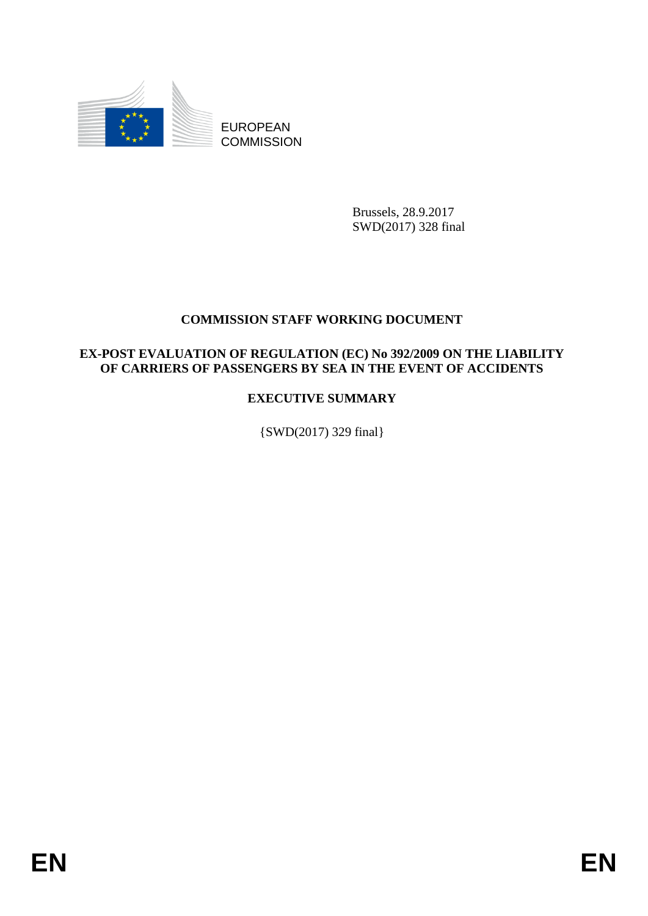

EUROPEAN **COMMISSION** 

> Brussels, 28.9.2017 SWD(2017) 328 final

## **COMMISSION STAFF WORKING DOCUMENT**

## **EX-POST EVALUATION OF REGULATION (EC) No 392/2009 ON THE LIABILITY OF CARRIERS OF PASSENGERS BY SEA IN THE EVENT OF ACCIDENTS**

## **EXECUTIVE SUMMARY**

{SWD(2017) 329 final}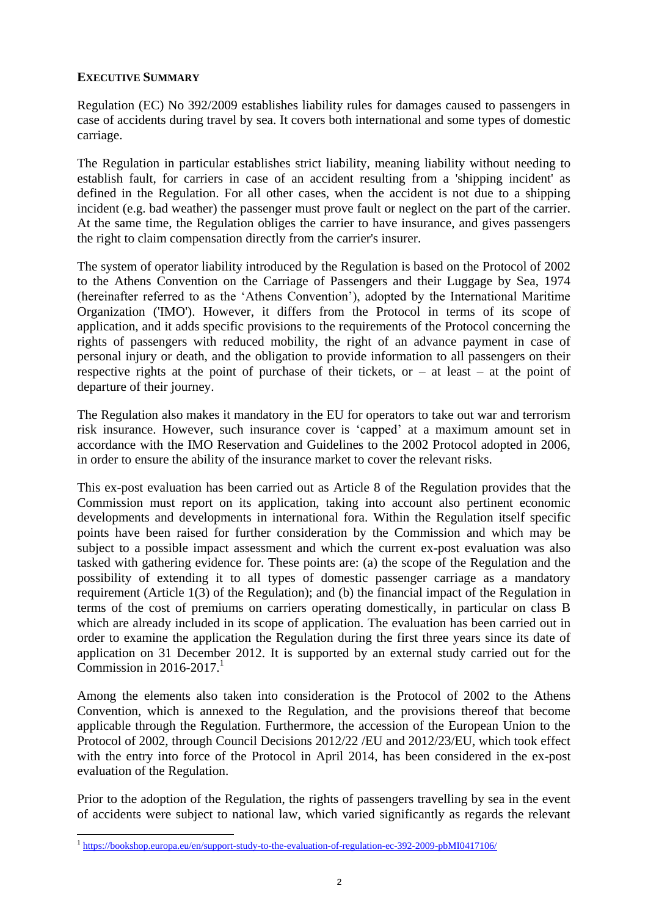## **EXECUTIVE SUMMARY**

Regulation (EC) No 392/2009 establishes liability rules for damages caused to passengers in case of accidents during travel by sea. It covers both international and some types of domestic carriage.

The Regulation in particular establishes strict liability, meaning liability without needing to establish fault, for carriers in case of an accident resulting from a 'shipping incident' as defined in the Regulation. For all other cases, when the accident is not due to a shipping incident (e.g. bad weather) the passenger must prove fault or neglect on the part of the carrier. At the same time, the Regulation obliges the carrier to have insurance, and gives passengers the right to claim compensation directly from the carrier's insurer.

The system of operator liability introduced by the Regulation is based on the Protocol of 2002 to the Athens Convention on the Carriage of Passengers and their Luggage by Sea, 1974 (hereinafter referred to as the 'Athens Convention'), adopted by the International Maritime Organization ('IMO'). However, it differs from the Protocol in terms of its scope of application, and it adds specific provisions to the requirements of the Protocol concerning the rights of passengers with reduced mobility, the right of an advance payment in case of personal injury or death, and the obligation to provide information to all passengers on their respective rights at the point of purchase of their tickets, or  $-$  at least  $-$  at the point of departure of their journey.

The Regulation also makes it mandatory in the EU for operators to take out war and terrorism risk insurance. However, such insurance cover is 'capped' at a maximum amount set in accordance with the IMO Reservation and Guidelines to the 2002 Protocol adopted in 2006, in order to ensure the ability of the insurance market to cover the relevant risks.

This ex-post evaluation has been carried out as Article 8 of the Regulation provides that the Commission must report on its application, taking into account also pertinent economic developments and developments in international fora. Within the Regulation itself specific points have been raised for further consideration by the Commission and which may be subject to a possible impact assessment and which the current ex-post evaluation was also tasked with gathering evidence for. These points are: (a) the scope of the Regulation and the possibility of extending it to all types of domestic passenger carriage as a mandatory requirement (Article 1(3) of the Regulation); and (b) the financial impact of the Regulation in terms of the cost of premiums on carriers operating domestically, in particular on class B which are already included in its scope of application. The evaluation has been carried out in order to examine the application the Regulation during the first three years since its date of application on 31 December 2012. It is supported by an external study carried out for the Commission in 2016-2017. $^1$ 

Among the elements also taken into consideration is the Protocol of 2002 to the Athens Convention, which is annexed to the Regulation, and the provisions thereof that become applicable through the Regulation. Furthermore, the accession of the European Union to the Protocol of 2002, through Council Decisions 2012/22 /EU and 2012/23/EU, which took effect with the entry into force of the Protocol in April 2014, has been considered in the ex-post evaluation of the Regulation.

Prior to the adoption of the Regulation, the rights of passengers travelling by sea in the event of accidents were subject to national law, which varied significantly as regards the relevant

1

<sup>&</sup>lt;sup>1</sup> <https://bookshop.europa.eu/en/support-study-to-the-evaluation-of-regulation-ec-392-2009-pbMI0417106/>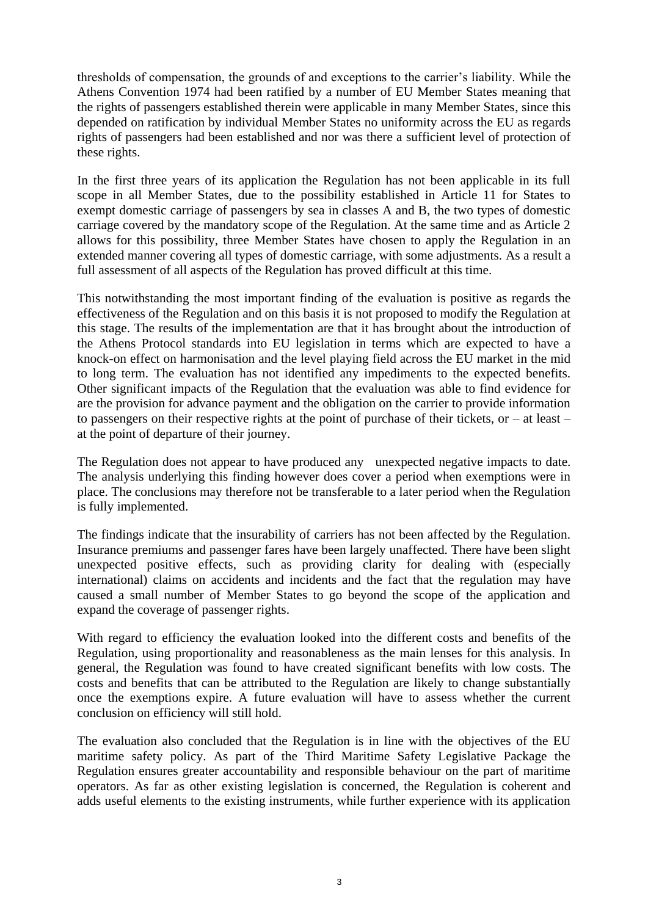thresholds of compensation, the grounds of and exceptions to the carrier's liability. While the Athens Convention 1974 had been ratified by a number of EU Member States meaning that the rights of passengers established therein were applicable in many Member States, since this depended on ratification by individual Member States no uniformity across the EU as regards rights of passengers had been established and nor was there a sufficient level of protection of these rights.

In the first three years of its application the Regulation has not been applicable in its full scope in all Member States, due to the possibility established in Article 11 for States to exempt domestic carriage of passengers by sea in classes A and B, the two types of domestic carriage covered by the mandatory scope of the Regulation. At the same time and as Article 2 allows for this possibility, three Member States have chosen to apply the Regulation in an extended manner covering all types of domestic carriage, with some adjustments. As a result a full assessment of all aspects of the Regulation has proved difficult at this time.

This notwithstanding the most important finding of the evaluation is positive as regards the effectiveness of the Regulation and on this basis it is not proposed to modify the Regulation at this stage. The results of the implementation are that it has brought about the introduction of the Athens Protocol standards into EU legislation in terms which are expected to have a knock-on effect on harmonisation and the level playing field across the EU market in the mid to long term. The evaluation has not identified any impediments to the expected benefits. Other significant impacts of the Regulation that the evaluation was able to find evidence for are the provision for advance payment and the obligation on the carrier to provide information to passengers on their respective rights at the point of purchase of their tickets, or  $-$  at least  $$ at the point of departure of their journey.

The Regulation does not appear to have produced any unexpected negative impacts to date. The analysis underlying this finding however does cover a period when exemptions were in place. The conclusions may therefore not be transferable to a later period when the Regulation is fully implemented.

The findings indicate that the insurability of carriers has not been affected by the Regulation. Insurance premiums and passenger fares have been largely unaffected. There have been slight unexpected positive effects, such as providing clarity for dealing with (especially international) claims on accidents and incidents and the fact that the regulation may have caused a small number of Member States to go beyond the scope of the application and expand the coverage of passenger rights.

With regard to efficiency the evaluation looked into the different costs and benefits of the Regulation, using proportionality and reasonableness as the main lenses for this analysis. In general, the Regulation was found to have created significant benefits with low costs. The costs and benefits that can be attributed to the Regulation are likely to change substantially once the exemptions expire. A future evaluation will have to assess whether the current conclusion on efficiency will still hold.

The evaluation also concluded that the Regulation is in line with the objectives of the EU maritime safety policy. As part of the Third Maritime Safety Legislative Package the Regulation ensures greater accountability and responsible behaviour on the part of maritime operators. As far as other existing legislation is concerned, the Regulation is coherent and adds useful elements to the existing instruments, while further experience with its application